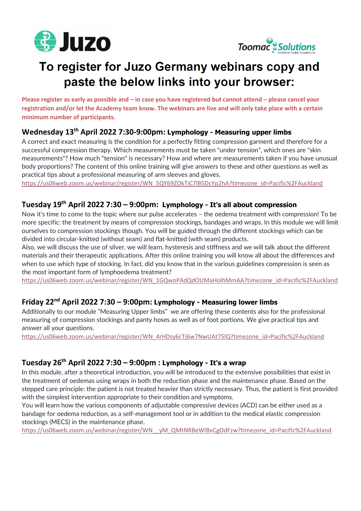



# To register for Juzo Germany webinars copy and paste the below links into your browser:

**Please register as early as possible and – in case you have registered but cannot attend – please cancel your registration and/or let the Academy team know. The webinars are live and will only take place with a certain minimum number of participants.**

# **Wednesday 13th April 2022 7:30-9:00pm: Lymphology - Measuring upper limbs**

A correct and exact measuring is the condition for a perfectly fitting compression garment and therefore for a successful compression therapy. Which measurements must be taken "under tension", which ones are "skin measurements"? How much "tension" is necessary? How and where are measurements taken if you have unusual body proportions? The content of this online training will give answers to these and other questions as well as practical tips about a professional measuring of arm sleeves and gloves.

[https://us06web.zoom.us/webinar/register/WN\\_5QY69ZOkTiC7lB5DcYp2hA?timezone\\_id=Pacific%2FAuckland](https://us06web.zoom.us/webinar/register/WN_5QY69ZOkTiC7lB5DcYp2hA?timezone_id=Pacific%2FAuckland)

#### **Tuesday 19th April 2022 7:30 – 9:00pm: Lymphology - It's all about compression**

Now it's time to come to the topic where our pulse accelerates – the oedema treatment with compression! To be more specific: the treatment by means of compression stockings, bandages and wraps. In this module we will limit ourselves to compression stockings though. You will be guided through the different stockings which can be divided into circular-knitted (without seam) and flat-knitted (with seam) products.

Also, we will discuss the use of silver, we will learn, hysteresis and stiffness and we will talk about the different materials and their therapeutic applications. After this online training you will know all about the differences and when to use which type of stocking. In fact, did you know that in the various guidelines compression is seen as the most important form of lymphoedema treatment?

[https://us06web.zoom.us/webinar/register/WN\\_1GQwoPAdQdOUMaHolhMmAA?timezone\\_id=Pacific%2FAuckland](https://us06web.zoom.us/webinar/register/WN_1GQwoPAdQdOUMaHolhMmAA?timezone_id=Pacific%2FAuckland)

#### **Friday 22nd April 2022 7:30 – 9:00pm: Lymphology - Measuring lower limbs**

Additionally to our module "Measuring Upper limbs" we are offering these contents also for the professional measuring of compression stockings and panty hoses as well as of foot portions. We give practical tips and answer all your questions.

[https://us06web.zoom.us/webinar/register/WN\\_4rHDsy6cTj6w7NwUAt75lQ?timezone\\_id=Pacific%2FAuckland](https://us06web.zoom.us/webinar/register/WN_4rHDsy6cTj6w7NwUAt75lQ?timezone_id=Pacific%2FAuckland)

# **Tuesday 26th April 2022 7:30 – 9:00pm : Lymphology - It's a wrap**

In this module, after a theoretical introduction, you will be introduced to the extensive possibilities that exist in the treatment of oedemas using wraps in both the reduction phase and the maintenance phase. Based on the stepped care principle: the patient is not treated heavier than strictly necessary. Thus, the patient is first provided with the simplest intervention appropriate to their condition and symptoms.

You will learn how the various components of adjustable compressive devices (ACD) can be either used as a bandage for oedema reduction, as a self-management tool or in addition to the medical elastic compression stockings (MECS) in the maintenance phase.

[https://us06web.zoom.us/webinar/register/WN\\_\\_yM\\_QMtNRBeWlBvCgOdFzw?timezone\\_id=Pacific%2FAuckland](https://us06web.zoom.us/webinar/register/WN__yM_QMtNRBeWlBvCgOdFzw?timezone_id=Pacific%2FAuckland)